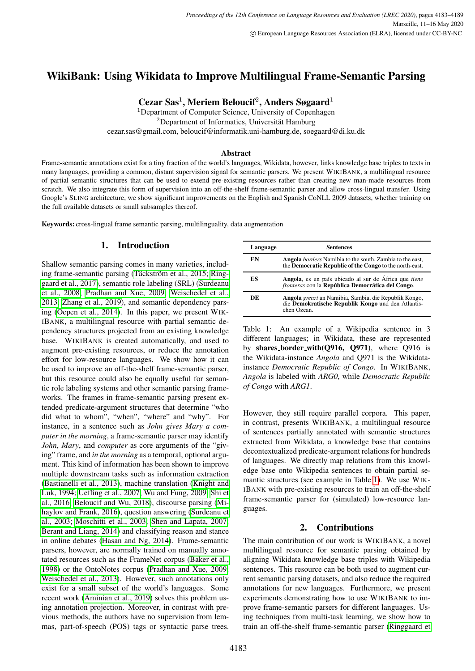# WikiBank: Using Wikidata to Improve Multilingual Frame-Semantic Parsing

Cezar Sas<sup>1</sup>, Meriem Beloucif<sup>2</sup>, Anders Søgaard<sup>1</sup>

<sup>1</sup>Department of Computer Science, University of Copenhagen  ${}^{2}$ Department of Informatics, Universität Hamburg cezar.sas@gmail.com, beloucif@informatik.uni-hamburg.de, soegaard@di.ku.dk

#### Abstract

Frame-semantic annotations exist for a tiny fraction of the world's languages, Wikidata, however, links knowledge base triples to texts in many languages, providing a common, distant supervision signal for semantic parsers. We present WIKIBANK, a multilingual resource of partial semantic structures that can be used to extend pre-existing resources rather than creating new man-made resources from scratch. We also integrate this form of supervision into an off-the-shelf frame-semantic parser and allow cross-lingual transfer. Using Google's SLING architecture, we show significant improvements on the English and Spanish CoNLL 2009 datasets, whether training on the full available datasets or small subsamples thereof.

Keywords: cross-lingual frame semantic parsing, multilinguality, data augmentation

# 1. Introduction

Shallow semantic parsing comes in many varieties, includ-ing frame-semantic parsing (Täckström et al., 2015; [Ring](#page-5-0) [gaard et al., 2017\)](#page-5-0), semantic role labeling (SRL) [\(Surdeanu](#page-6-1) [et al., 2008;](#page-6-1) [Pradhan and Xue, 2009;](#page-5-1) [Weischedel et al.,](#page-6-2) [2013;](#page-6-2) [Zhang et al., 2019\)](#page-6-3), and semantic dependency parsing [\(Oepen et al., 2014\)](#page-5-2). In this paper, we present WIK-IBANK, a multilingual resource with partial semantic dependency structures projected from an existing knowledge base. WIKIBANK is created automatically, and used to augment pre-existing resources, or reduce the annotation effort for low-resource languages. We show how it can be used to improve an off-the-shelf frame-semantic parser, but this resource could also be equally useful for semantic role labeling systems and other semantic parsing frameworks. The frames in frame-semantic parsing present extended predicate-argument structures that determine "who did what to whom", "when", "where" and "why". For instance, in a sentence such as *John gives Mary a computer in the morning*, a frame-semantic parser may identify *John*, *Mary*, and *computer* as core arguments of the "giving" frame, and *in the morning* as a temporal, optional argument. This kind of information has been shown to improve multiple downstream tasks such as information extraction [\(Bastianelli et al., 2013\)](#page-4-0), machine translation [\(Knight and](#page-5-3) [Luk, 1994;](#page-5-3) [Ueffing et al., 2007;](#page-6-4) [Wu and Fung, 2009;](#page-6-5) [Shi et](#page-5-4) [al., 2016;](#page-5-4) [Beloucif and Wu, 2018\)](#page-4-1), discourse parsing [\(Mi](#page-5-5)[haylov and Frank, 2016\)](#page-5-5), question answering [\(Surdeanu et](#page-6-6) [al., 2003;](#page-6-6) [Moschitti et al., 2003;](#page-5-6) [Shen and Lapata, 2007;](#page-5-7) [Berant and Liang, 2014\)](#page-4-2) and classifying reason and stance in online debates [\(Hasan and Ng, 2014\)](#page-5-8). Frame-semantic parsers, however, are normally trained on manually annotated resources such as the FrameNet corpus [\(Baker et al.,](#page-4-3) [1998\)](#page-4-3) or the OntoNotes corpus [\(Pradhan and Xue, 2009;](#page-5-1) [Weischedel et al., 2013\)](#page-6-2). However, such annotations only exist for a small subset of the world's languages. Some recent work [\(Aminian et al., 2019\)](#page-4-4) solves this problem using annotation projection. Moreover, in contrast with previous methods, the authors have no supervision from lemmas, part-of-speech (POS) tags or syntactic parse trees.

<span id="page-0-0"></span>

| Language | Sentences                                                                                                                                |
|----------|------------------------------------------------------------------------------------------------------------------------------------------|
| EN       | <b>Angola</b> <i>borders</i> Namibia to the south, Zambia to the east,<br>the <b>Democratic Republic of the Congo</b> to the north-east. |
| ES       | Angola, es un país ubicado al sur de África que <i>tiene</i><br>fronteras con la República Democrática del Congo.                        |
| DE       | Angola grenzt an Namibia, Sambia, die Republik Kongo,<br>die Demokratische Republik Kongo und den Atlantis-<br>chen Ozean.               |

Table 1: An example of a Wikipedia sentence in 3 different languages; in Wikidata, these are represented by shares border with(Q916, Q971), where Q916 is the Wikidata-instance *Angola* and Q971 is the Wikidatainstance *Democratic Republic of Congo*. In WIKIBANK, *Angola* is labeled with *ARG0*, while *Democratic Republic of Congo* with *ARG1*.

However, they still require parallel corpora. This paper, in contrast, presents WIKIBANK, a multilingual resource of sentences partially annotated with semantic structures extracted from Wikidata, a knowledge base that contains decontextualized predicate-argument relations for hundreds of languages. We directly map relations from this knowledge base onto Wikipedia sentences to obtain partial semantic structures (see example in Table [1\)](#page-0-0). We use WIK-IBANK with pre-existing resources to train an off-the-shelf frame-semantic parser for (simulated) low-resource languages.

# 2. Contributions

The main contribution of our work is WIKIBANK, a novel multilingual resource for semantic parsing obtained by aligning Wikidata knowledge base triples with Wikipedia sentences. This resource can be both used to augment current semantic parsing datasets, and also reduce the required annotations for new languages. Furthermore, we present experiments demonstrating how to use WIKIBANK to improve frame-semantic parsers for different languages. Using techniques from multi-task learning, we show how to train an off-the-shelf frame-semantic parser [\(Ringgaard et](#page-5-0)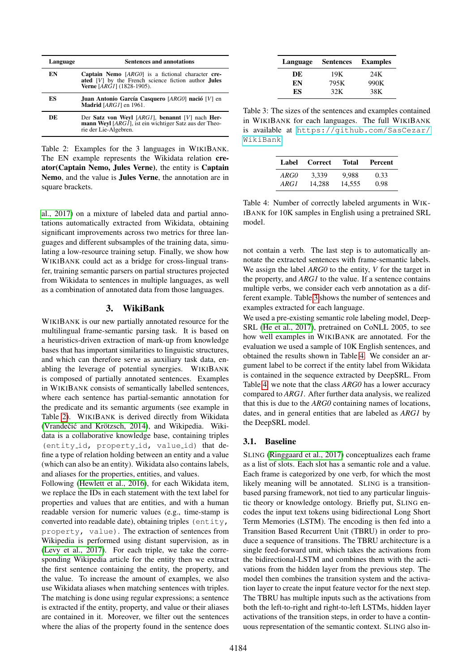<span id="page-1-0"></span>

| Language | <b>Sentences and annotations</b>                                                                                                                        |
|----------|---------------------------------------------------------------------------------------------------------------------------------------------------------|
| EN       | <b>Captain Nemo</b> $[ARGO]$ is a fictional character cre-<br>ated [V] by the French science fiction author Jules<br><b>Verne</b> $[ARGI]$ (1828-1905). |
| ES       | Juan Antonio García Casquero [ARGO] nació [V] en<br>Madrid [ARG1] en 1961.                                                                              |
| DE       | Der Satz von Weyl $[ARGI]$ , benannt $[V]$ nach Her-<br><b>mann Weyl</b> [ARG1], ist ein wichtiger Satz aus der Theo-<br>rie der Lie-Algebren.          |

Table 2: Examples for the 3 languages in WIKIBANK. The EN example represents the Wikidata relation creator(Captain Nemo, Jules Verne), the entity is Captain Nemo, and the value is Jules Verne, the annotation are in square brackets.

[al., 2017\)](#page-5-0) on a mixture of labeled data and partial annotations automatically extracted from Wikidata, obtaining significant improvements across two metrics for three languages and different subsamples of the training data, simulating a low-resource training setup. Finally, we show how WIKIBANK could act as a bridge for cross-lingual transfer, training semantic parsers on partial structures projected from Wikidata to sentences in multiple languages, as well as a combination of annotated data from those languages.

## 3. WikiBank

WIKIBANK is our new partially annotated resource for the multilingual frame-semantic parsing task. It is based on a heuristics-driven extraction of mark-up from knowledge bases that has important similarities to linguistic structures, and which can therefore serve as auxiliary task data, enabling the leverage of potential synergies. WIKIBANK is composed of partially annotated sentences. Examples in WIKIBANK consists of semantically labelled sentences, where each sentence has partial-semantic annotation for the predicate and its semantic arguments (see example in Table [2\)](#page-1-0). WIKIBANK is derived directly from Wikidata (Vrandečić and Krötzsch, 2014), and Wikipedia. Wikidata is a collaborative knowledge base, containing triples (entity\_id, property\_id, value\_id) that define a type of relation holding between an entity and a value (which can also be an entity). Wikidata also contains labels, and aliases for the properties, entities, and values.

Following [\(Hewlett et al., 2016\)](#page-5-9), for each Wikidata item, we replace the IDs in each statement with the text label for properties and values that are entities, and with a human readable version for numeric values (e.g., time-stamp is converted into readable date), obtaining triples (entity, property, value). The extraction of sentences from Wikipedia is performed using distant supervision, as in [\(Levy et al., 2017\)](#page-5-10). For each triple, we take the corresponding Wikipedia article for the entity then we extract the first sentence containing the entity, the property, and the value. To increase the amount of examples, we also use Wikidata aliases when matching sentences with triples. The matching is done using regular expressions; a sentence is extracted if the entity, property, and value or their aliases are contained in it. Moreover, we filter out the sentences where the alias of the property found in the sentence does

<span id="page-1-1"></span>

| Language | <b>Sentences</b> | <b>Examples</b> |  |  |
|----------|------------------|-----------------|--|--|
| DE       | 19K              | 24K             |  |  |
| EN       | 795K             | 990K            |  |  |
| ES       | 32K              | 38K             |  |  |

Table 3: The sizes of the sentences and examples contained in WIKIBANK for each languages. The full WIKIBANK is available at [https://github.com/SasCezar/](https://github.com/SasCezar/WikiBank) [WikiBank](https://github.com/SasCezar/WikiBank)

<span id="page-1-2"></span>

| Label       | <b>Correct</b> | Total  | Percent |
|-------------|----------------|--------|---------|
| <i>ARGO</i> | 3.339          | 9.988  | 0.33    |
| ARG1        | 14.288         | 14.555 | 0.98    |

Table 4: Number of correctly labeled arguments in WIK-IBANK for 10K samples in English using a pretrained SRL model.

not contain a verb. The last step is to automatically annotate the extracted sentences with frame-semantic labels. We assign the label *ARG0* to the entity, *V* for the target in the property, and *ARG1* to the value. If a sentence contains multiple verbs, we consider each verb annotation as a different example. Table [3](#page-1-1) shows the number of sentences and examples extracted for each language.

We used a pre-existing semantic role labeling model, Deep-SRL [\(He et al., 2017\)](#page-5-11), pretrained on CoNLL 2005, to see how well examples in WIKIBANK are annotated. For the evaluation we used a sample of 10K English sentences, and obtained the results shown in Table [4.](#page-1-2) We consider an argument label to be correct if the entity label from Wikidata is contained in the sequence extracted by DeepSRL. From Table [4,](#page-1-2) we note that the class *ARG0* has a lower accuracy compared to *ARG1*. After further data analysis, we realized that this is due to the *ARG0* containing names of locations, dates, and in general entities that are labeled as *ARG1* by the DeepSRL model.

# 3.1. Baseline

SLING [\(Ringgaard et al., 2017\)](#page-5-0) conceptualizes each frame as a list of slots. Each slot has a semantic role and a value. Each frame is categorized by one verb, for which the most likely meaning will be annotated. SLING is a transitionbased parsing framework, not tied to any particular linguistic theory or knowledge ontology. Briefly put, SLING encodes the input text tokens using bidirectional Long Short Term Memories (LSTM). The encoding is then fed into a Transition Based Recurrent Unit (TBRU) in order to produce a sequence of transitions. The TBRU architecture is a single feed-forward unit, which takes the activations from the bidirectional-LSTM and combines them with the activations from the hidden layer from the previous step. The model then combines the transition system and the activation layer to create the input feature vector for the next step. The TBRU has multiple inputs such as the activations from both the left-to-right and right-to-left LSTMs, hidden layer activations of the transition steps, in order to have a continuous representation of the semantic context. SLING also in-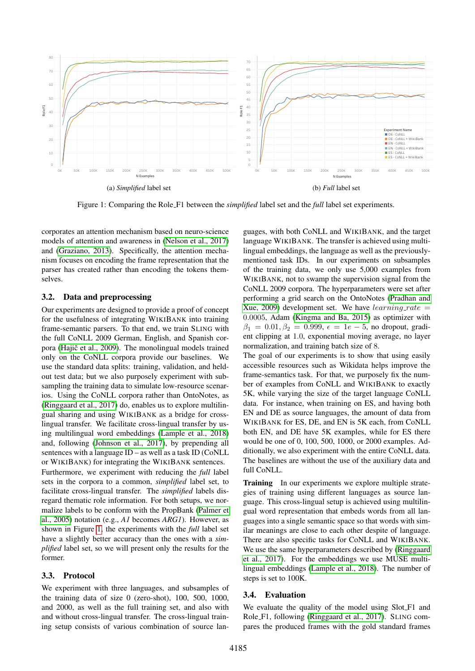<span id="page-2-0"></span>

Figure 1: Comparing the Role F1 between the *simplified* label set and the *full* label set experiments.

corporates an attention mechanism based on neuro-science models of attention and awareness in [\(Nelson et al., 2017\)](#page-5-12) and [\(Graziano, 2013\)](#page-4-5). Specifically, the attention mechanism focuses on encoding the frame representation that the parser has created rather than encoding the tokens themselves.

#### 3.2. Data and preprocessing

Our experiments are designed to provide a proof of concept for the usefulness of integrating WIKIBANK into training frame-semantic parsers. To that end, we train SLING with the full CoNLL 2009 German, English, and Spanish corpora (Hajič et al., 2009). The monolingual models trained only on the CoNLL corpora provide our baselines. We use the standard data splits: training, validation, and heldout test data; but we also purposely experiment with subsampling the training data to simulate low-resource scenarios. Using the CoNLL corpora rather than OntoNotes, as [\(Ringgaard et al., 2017\)](#page-5-0) do, enables us to explore multilingual sharing and using WIKIBANK as a bridge for crosslingual transfer. We facilitate cross-lingual transfer by using multilingual word embeddings [\(Lample et al., 2018\)](#page-5-13) and, following [\(Johnson et al., 2017\)](#page-5-14), by prepending all sentences with a language ID – as well as a task ID (CoNLL or WIKIBANK) for integrating the WIKIBANK sentences. Furthermore, we experiment with reducing the *full* label sets in the corpora to a common, *simplified* label set, to facilitate cross-lingual transfer. The *simplified* labels disregard thematic role information. For both setups, we normalize labels to be conform with the PropBank [\(Palmer et](#page-5-15) [al., 2005\)](#page-5-15) notation (e.g., *A1* becomes *ARG1*). However, as shown in Figure [1,](#page-2-0) the experiments with the *full* label set have a slightly better accuracy than the ones with a *simplified* label set, so we will present only the results for the former.

#### 3.3. Protocol

We experiment with three languages, and subsamples of the training data of size 0 (zero-shot), 100, 500, 1000, and 2000, as well as the full training set, and also with and without cross-lingual transfer. The cross-lingual training setup consists of various combination of source lan-

guages, with both CoNLL and WIKIBANK, and the target language WIKIBANK. The transfer is achieved using multilingual embeddings, the language as well as the previouslymentioned task IDs. In our experiments on subsamples of the training data, we only use 5,000 examples from WIKIBANK, not to swamp the supervision signal from the CoNLL 2009 corpora. The hyperparameters were set after performing a grid search on the OntoNotes [\(Pradhan and](#page-5-1) [Xue, 2009\)](#page-5-1) development set. We have  $learning_rate =$ 0.0005, Adam [\(Kingma and Ba, 2015\)](#page-5-16) as optimizer with  $\beta_1 = 0.01, \beta_2 = 0.999, \epsilon = 1e - 5$ , no dropout, gradient clipping at 1.0, exponential moving average, no layer normalization, and training batch size of 8.

The goal of our experiments is to show that using easily accessible resources such as Wikidata helps improve the frame-semantics task. For that, we purposely fix the number of examples from CoNLL and WIKIBANK to exactly 5K, while varying the size of the target language CoNLL data. For instance, when training on ES, and having both EN and DE as source languages, the amount of data from WIKIBANK for ES, DE, and EN is 5K each, from CoNLL both EN, and DE have 5K examples, while for ES there would be one of 0, 100, 500, 1000, or 2000 examples. Additionally, we also experiment with the entire CoNLL data. The baselines are without the use of the auxiliary data and full CoNLL.

Training In our experiments we explore multiple strategies of training using different languages as source language. This cross-lingual setup is achieved using multilingual word representation that embeds words from all languages into a single semantic space so that words with similar meanings are close to each other despite of language. There are also specific tasks for CoNLL and WIKIBANK. We use the same hyperparameters described by [\(Ringgaard](#page-5-0) [et al., 2017\)](#page-5-0). For the embeddings we use MUSE multilingual embeddings [\(Lample et al., 2018\)](#page-5-13). The number of steps is set to 100K.

#### 3.4. Evaluation

We evaluate the quality of the model using Slot\_F1 and Role F1, following [\(Ringgaard et al., 2017\)](#page-5-0). SLING compares the produced frames with the gold standard frames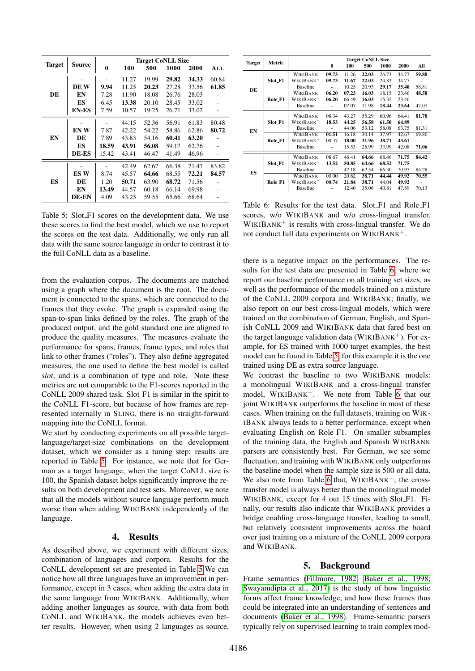<span id="page-3-0"></span>

|               | Source       | <b>Target CoNLL Size</b> |       |       |       |       |       |
|---------------|--------------|--------------------------|-------|-------|-------|-------|-------|
| <b>Target</b> |              | 0                        | 100   | 500   | 1000  | 2000  | ALL   |
|               |              |                          | 11.27 | 19.99 | 29.82 | 34.33 | 60.84 |
|               | DE W         | 9.94                     | 11.25 | 20.23 | 27.28 | 33.56 | 61.85 |
| DE            | EN           | 7.28                     | 11.90 | 18.08 | 26.76 | 28.03 |       |
|               | ES           | 6.45                     | 13.38 | 20.10 | 28.45 | 33.02 |       |
|               | <b>EN-ES</b> | 7.59                     | 10.57 | 19.25 | 26.71 | 33.02 |       |
|               |              |                          | 44.15 | 52.36 | 56.91 | 61.83 | 80.48 |
|               | EN W         | 7.87                     | 42.22 | 54.22 | 58.86 | 62.86 | 80.72 |
| EN            | DE           | 7.89                     | 43.83 | 54.16 | 60.41 | 63.20 |       |
|               | ES           | 18.59                    | 43.91 | 56.08 | 59.17 | 62.76 |       |
|               | DE-ES        | 15.42                    | 43.41 | 46.47 | 41.49 | 46.96 |       |
| ES            |              |                          | 42.49 | 62.67 | 66.38 | 71.47 | 83.82 |
|               | ES W         | 8.74                     | 45.57 | 64.66 | 68.55 | 72.21 | 84.57 |
|               | DE           | 1.20                     | 50.71 | 63.90 | 68.72 | 71.56 |       |
|               | EN           | 13.49                    | 44.57 | 60.18 | 66.14 | 69.98 |       |
|               | <b>DE-EN</b> | 4.09                     | 43.25 | 59.55 | 65.66 | 68.64 |       |

Table 5: Slot F1 scores on the development data. We use these scores to find the best model, which we use to report the scores on the test data. Additionally, we only run all data with the same source language in order to contrast it to the full CoNLL data as a baseline.

from the evaluation corpus. The documents are matched using a graph where the document is the root. The document is connected to the spans, which are connected to the frames that they evoke. The graph is expanded using the span-to-span links defined by the roles. The graph of the produced output, and the gold standard one are aligned to produce the quality measures. The measures evaluate the performance for spans, frames, frame types, and roles that link to other frames ("roles"). They also define aggregated measures, the one used to define the best model is called *slot*, and is a combination of type and role. Note these metrics are not comparable to the F1-scores reported in the CoNLL 2009 shared task. Slot F1 is similar in the spirit to the CoNLL F1-score, but because of how frames are represented internally in SLING, there is no straight-forward mapping into the CoNLL format.

We start by conducting experiments on all possible targetlanguage/target-size combinations on the development dataset, which we consider as a tuning step; results are reported in Table [5.](#page-3-0) For instance, we note that for German as a target language, when the target CoNLL size is 100, the Spanish dataset helps significantly improve the results on both development and test sets. Moreover, we note that all the models without source language perform much worse than when adding WIKIBANK independently of the language.

## 4. Results

As described above, we experiment with different sizes, combination of languages and corpora. Results for the CoNLL development set are presented in Table [5.](#page-3-0)We can notice how all three languages have an improvement in performance, except in 3 cases, when adding the extra data in the same language from WIKIBANK. Additionally, when adding another languages as source, with data from both CoNLL and WIKIBANK, the models achieves even better results. However, when using 2 languages as source,

<span id="page-3-1"></span>

| <b>Target</b> | Metric  | <b>Target CoNLL Size</b> |                          |       |       |       |       |       |
|---------------|---------|--------------------------|--------------------------|-------|-------|-------|-------|-------|
|               |         |                          | 0                        | 100   | 500   | 1000  | 2000  | All   |
|               |         | WIKIBANK                 | 09.73                    | 11.26 | 22.03 | 26.73 | 34.77 | 59.88 |
|               | Slot_F1 | WIKIBANK <sup>+</sup>    | 09.73                    | 11.67 | 22.03 | 24.83 | 34.77 |       |
| DE            |         | <b>Baseline</b>          | ä,                       | 10.25 | 20.93 | 29.17 | 35.40 | 58.81 |
|               |         | WIKIBANK                 | 06.20                    | 07.23 | 16.03 | 18.15 | 23.46 | 48.58 |
|               | Role_F1 | WIKIBANK <sup>+</sup>    | 06.20                    | 06.49 | 16.03 | 15.32 | 23.46 |       |
|               |         | <b>Baseline</b>          | $\overline{\phantom{a}}$ | 07.07 | 11.98 | 18.44 | 23.64 | 47.07 |
|               |         | WIKIBANK                 | 08.34                    | 43.27 | 55.29 | 60.96 | 64.41 | 81.78 |
|               | Slot_F1 | WIKIBANK <sup>+</sup>    | 18.53                    | 44.25 | 56.58 | 61.50 | 64.89 |       |
| EN            |         | <b>Baseline</b>          | ×.                       | 44.06 | 53.12 | 58.08 | 63.75 | 81.31 |
|               |         | WIKIBANK                 | 01.51                    | 16.18 | 30.14 | 37.97 | 42.67 | 69.86 |
|               | Role_F1 | WIKIBANK <sup>+</sup>    | 00.37                    | 18.00 | 31.96 | 38.71 | 43.61 |       |
|               |         | <b>Baseline</b>          | ä,                       | 15.53 | 26.99 | 33.99 | 42.08 | 71.06 |
| ES            |         | WIKIBANK                 | 08.67                    | 46.41 | 64.66 | 68.46 | 71.75 | 84.42 |
|               | Slot_F1 | WIKIBANK <sup>+</sup>    | 13.52                    | 50.85 | 64.66 | 68.52 | 71.75 |       |
|               |         | Baseline                 | ä,                       | 42.18 | 62.54 | 66.30 | 70.97 | 84.28 |
|               |         | WIKIBANK                 | 00.00                    | 20.62 | 38.71 | 44.44 | 49.92 | 70.55 |
|               | Role F1 | WIKIBANK <sup>+</sup>    | 00.74                    | 21.84 | 38.71 | 44.04 | 49.92 |       |
|               |         | Baseline                 |                          | 12.40 | 35.06 | 40.81 | 47.89 | 70.13 |

Table 6: Results for the test data. Slot F1 and Role F1 scores, w/o WIKIBANK and w/o cross-lingual transfer.  $WIKIBANK<sup>+</sup>$  is results with cross-lingual transfer. We do not conduct full data experiments on WIKIBANK<sup>+</sup>.

there is a negative impact on the performances. The results for the test data are presented in Table [6,](#page-3-1) where we report our baseline performance on all training set sizes, as well as the performance of the models trained on a mixture of the CoNLL 2009 corpora and WIKIBANK; finally, we also report on our best cross-lingual models, which were trained on the combination of German, English, and Spanish CoNLL 2009 and WIKIBANK data that fared best on the target language validation data (WIKIBANK<sup>+</sup>). For example, for ES trained with 1000 target examples, the best model can be found in Table [5,](#page-3-0) for this example it is the one trained using DE as extra source language.

We contrast the baseline to two WIKIBANK models: a monolingual WIKIBANK and a cross-lingual transfer model, WIKIBANK<sup>+</sup>. We note from Table [6](#page-3-1) that our joint WIKIBANK outperforms the baseline in most of these cases. When training on the full datasets, training on WIK-IBANK always leads to a better performance, except when evaluating English on Role F1. On smaller subsamples of the training data, the English and Spanish WIKIBANK parsers are consistently best. For German, we see some fluctuation, and training with WIKIBANK only outperforms the baseline model when the sample size is 500 or all data. We also note from Table [6](#page-3-1) that,  $WIKIBANK^+$ , the crosstransfer model is always better than the monolingual model WIKIBANK, except for 4 out 15 times with Slot\_F1. Finally, our results also indicate that WIKIBANK provides a bridge enabling cross-language transfer, leading to small, but relatively consistent improvements across the board over just training on a mixture of the CoNLL 2009 corpora and WIKIBANK.

## 5. Background

Frame semantics [\(Fillmore, 1982;](#page-4-7) [Baker et al., 1998;](#page-4-3) [Swayamdipta et al., 2017\)](#page-6-8) is the study of how linguistic forms affect frame knowledge, and how these frames thus could be integrated into an understanding of sentences and documents [\(Baker et al., 1998\)](#page-4-3). Frame-semantic parsers typically rely on supervised learning to train complex mod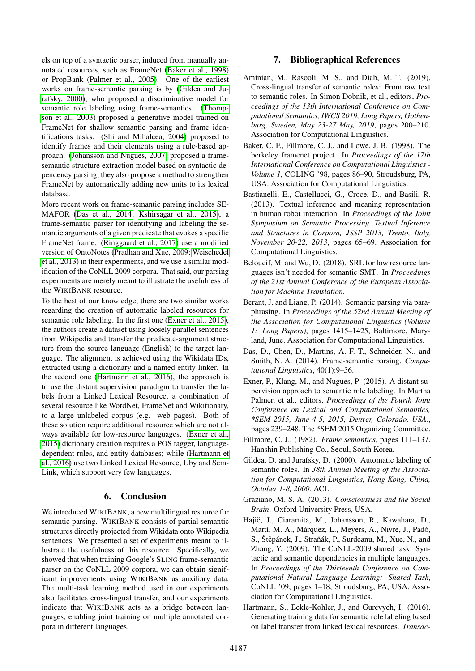els on top of a syntactic parser, induced from manually annotated resources, such as FrameNet [\(Baker et al., 1998\)](#page-4-3) or PropBank [\(Palmer et al., 2005\)](#page-5-15). One of the earliest works on frame-semantic parsing is by [\(Gildea and Ju](#page-4-8)[rafsky, 2000\)](#page-4-8), who proposed a discriminative model for semantic role labeling using frame-semantics. [\(Thomp](#page-6-9)[son et al., 2003\)](#page-6-9) proposed a generative model trained on FrameNet for shallow semantic parsing and frame identifications tasks. [\(Shi and Mihalcea, 2004\)](#page-5-17) proposed to identify frames and their elements using a rule-based approach. [\(Johansson and Nugues, 2007\)](#page-5-18) proposed a framesemantic structure extraction model based on syntactic dependency parsing; they also propose a method to strengthen FrameNet by automatically adding new units to its lexical database.

More recent work on frame-semantic parsing includes SE-MAFOR [\(Das et al., 2014;](#page-4-9) [Kshirsagar et al., 2015\)](#page-5-19), a frame-semantic parser for identifying and labeling the semantic arguments of a given predicate that evokes a specific FrameNet frame. [\(Ringgaard et al., 2017\)](#page-5-0) use a modified version of OntoNotes [\(Pradhan and Xue, 2009;](#page-5-1) [Weischedel](#page-6-2) [et al., 2013\)](#page-6-2) in their experiments, and we use a similar modification of the CoNLL 2009 corpora. That said, our parsing experiments are merely meant to illustrate the usefulness of the WIKIBANK resource.

To the best of our knowledge, there are two similar works regarding the creation of automatic labeled resources for semantic role labeling. In the first one [\(Exner et al., 2015\)](#page-4-10), the authors create a dataset using loosely parallel sentences from Wikipedia and transfer the predicate-argument structure from the source language (English) to the target language. The alignment is achieved using the Wikidata IDs, extracted using a dictionary and a named entity linker. In the second one [\(Hartmann et al., 2016\)](#page-4-11), the approach is to use the distant supervision paradigm to transfer the labels from a Linked Lexical Resource, a combination of several resource like WordNet, FrameNet and Wikitionary, to a large unlabeled corpus (e.g. web pages). Both of these solution require additional resource which are not always available for low-resource languages. [\(Exner et al.,](#page-4-10) [2015\)](#page-4-10) dictionary creation requires a POS tagger, languagedependent rules, and entity databases; while [\(Hartmann et](#page-4-11) [al., 2016\)](#page-4-11) use two Linked Lexical Resource, Uby and Sem-Link, which support very few languages.

## 6. Conclusion

We introduced WIKIBANK, a new multilingual resource for semantic parsing. WIKIBANK consists of partial semantic structures directly projected from Wikidata onto Wikipedia sentences. We presented a set of experiments meant to illustrate the usefulness of this resource. Specifically, we showed that when training Google's SLING frame-semantic parser on the CoNLL 2009 corpora, we can obtain significant improvements using WIKIBANK as auxiliary data. The multi-task learning method used in our experiments also facilitates cross-lingual transfer, and our experiments indicate that WIKIBANK acts as a bridge between languages, enabling joint training on multiple annotated corpora in different languages.

# 7. Bibliographical References

- <span id="page-4-4"></span>Aminian, M., Rasooli, M. S., and Diab, M. T. (2019). Cross-lingual transfer of semantic roles: From raw text to semantic roles. In Simon Dobnik, et al., editors, *Proceedings of the 13th International Conference on Computational Semantics, IWCS 2019, Long Papers, Gothenburg, Sweden, May 23-27 May, 2019*, pages 200–210. Association for Computational Linguistics.
- <span id="page-4-3"></span>Baker, C. F., Fillmore, C. J., and Lowe, J. B. (1998). The berkeley framenet project. In *Proceedings of the 17th International Conference on Computational Linguistics - Volume 1*, COLING '98, pages 86–90, Stroudsburg, PA, USA. Association for Computational Linguistics.
- <span id="page-4-0"></span>Bastianelli, E., Castellucci, G., Croce, D., and Basili, R. (2013). Textual inference and meaning representation in human robot interaction. In *Proceedings of the Joint Symposium on Semantic Processing. Textual Inference and Structures in Corpora, JSSP 2013, Trento, Italy, November 20-22, 2013*, pages 65–69. Association for Computational Linguistics.
- <span id="page-4-1"></span>Beloucif, M. and Wu, D. (2018). SRL for low resource languages isn't needed for semantic SMT. In *Proceedings of the 21st Annual Conference of the European Association for Machine Translation*.
- <span id="page-4-2"></span>Berant, J. and Liang, P. (2014). Semantic parsing via paraphrasing. In *Proceedings of the 52nd Annual Meeting of the Association for Computational Linguistics (Volume 1: Long Papers)*, pages 1415–1425, Baltimore, Maryland, June. Association for Computational Linguistics.
- <span id="page-4-9"></span>Das, D., Chen, D., Martins, A. F. T., Schneider, N., and Smith, N. A. (2014). Frame-semantic parsing. *Computational Linguistics*, 40(1):9–56.
- <span id="page-4-10"></span>Exner, P., Klang, M., and Nugues, P. (2015). A distant supervision approach to semantic role labeling. In Martha Palmer, et al., editors, *Proceedings of the Fourth Joint Conference on Lexical and Computational Semantics, \*SEM 2015, June 4-5, 2015, Denver, Colorado, USA.*, pages 239–248. The \*SEM 2015 Organizing Committee.
- <span id="page-4-7"></span>Fillmore, C. J., (1982). *Frame semantics*, pages 111–137. Hanshin Publishing Co., Seoul, South Korea.
- <span id="page-4-8"></span>Gildea, D. and Jurafsky, D. (2000). Automatic labeling of semantic roles. In *38th Annual Meeting of the Association for Computational Linguistics, Hong Kong, China, October 1-8, 2000.* ACL.
- <span id="page-4-5"></span>Graziano, M. S. A. (2013). *Consciousness and the Social Brain*. Oxford University Press, USA.
- <span id="page-4-6"></span>Hajič, J., Ciaramita, M., Johansson, R., Kawahara, D., Martí, M. A., Màrquez, L., Meyers, A., Nivre, J., Padó, S., Štěpánek, J., Straňák, P., Surdeanu, M., Xue, N., and Zhang, Y. (2009). The CoNLL-2009 shared task: Syntactic and semantic dependencies in multiple languages. In *Proceedings of the Thirteenth Conference on Computational Natural Language Learning: Shared Task*, CoNLL '09, pages 1–18, Stroudsburg, PA, USA. Association for Computational Linguistics.
- <span id="page-4-11"></span>Hartmann, S., Eckle-Kohler, J., and Gurevych, I. (2016). Generating training data for semantic role labeling based on label transfer from linked lexical resources. *Transac-*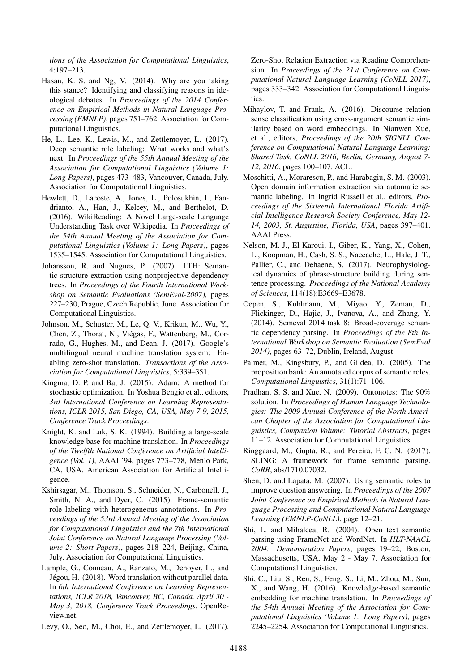*tions of the Association for Computational Linguistics*, 4:197–213.

- <span id="page-5-8"></span>Hasan, K. S. and Ng, V. (2014). Why are you taking this stance? Identifying and classifying reasons in ideological debates. In *Proceedings of the 2014 Conference on Empirical Methods in Natural Language Processing (EMNLP)*, pages 751–762. Association for Computational Linguistics.
- <span id="page-5-11"></span>He, L., Lee, K., Lewis, M., and Zettlemoyer, L. (2017). Deep semantic role labeling: What works and what's next. In *Proceedings of the 55th Annual Meeting of the Association for Computational Linguistics (Volume 1: Long Papers)*, pages 473–483, Vancouver, Canada, July. Association for Computational Linguistics.
- <span id="page-5-9"></span>Hewlett, D., Lacoste, A., Jones, L., Polosukhin, I., Fandrianto, A., Han, J., Kelcey, M., and Berthelot, D. (2016). WikiReading: A Novel Large-scale Language Understanding Task over Wikipedia. In *Proceedings of the 54th Annual Meeting of the Association for Computational Linguistics (Volume 1: Long Papers)*, pages 1535–1545. Association for Computational Linguistics.
- <span id="page-5-18"></span>Johansson, R. and Nugues, P. (2007). LTH: Semantic structure extraction using nonprojective dependency trees. In *Proceedings of the Fourth International Workshop on Semantic Evaluations (SemEval-2007)*, pages 227–230, Prague, Czech Republic, June. Association for Computational Linguistics.
- <span id="page-5-14"></span>Johnson, M., Schuster, M., Le, Q. V., Krikun, M., Wu, Y., Chen, Z., Thorat, N., Viegas, F., Wattenberg, M., Cor- ´ rado, G., Hughes, M., and Dean, J. (2017). Google's multilingual neural machine translation system: Enabling zero-shot translation. *Transactions of the Association for Computational Linguistics*, 5:339–351.
- <span id="page-5-16"></span>Kingma, D. P. and Ba, J. (2015). Adam: A method for stochastic optimization. In Yoshua Bengio et al., editors, *3rd International Conference on Learning Representations, ICLR 2015, San Diego, CA, USA, May 7-9, 2015, Conference Track Proceedings*.
- <span id="page-5-3"></span>Knight, K. and Luk, S. K. (1994). Building a large-scale knowledge base for machine translation. In *Proceedings of the Twelfth National Conference on Artificial Intelligence (Vol. 1)*, AAAI '94, pages 773–778, Menlo Park, CA, USA. American Association for Artificial Intelligence.
- <span id="page-5-19"></span>Kshirsagar, M., Thomson, S., Schneider, N., Carbonell, J., Smith, N. A., and Dyer, C. (2015). Frame-semantic role labeling with heterogeneous annotations. In *Proceedings of the 53rd Annual Meeting of the Association for Computational Linguistics and the 7th International Joint Conference on Natural Language Processing (Volume 2: Short Papers)*, pages 218–224, Beijing, China, July. Association for Computational Linguistics.
- <span id="page-5-13"></span>Lample, G., Conneau, A., Ranzato, M., Denoyer, L., and Jégou, H. (2018). Word translation without parallel data. In *6th International Conference on Learning Representations, ICLR 2018, Vancouver, BC, Canada, April 30 - May 3, 2018, Conference Track Proceedings*. OpenReview.net.
- <span id="page-5-10"></span>Levy, O., Seo, M., Choi, E., and Zettlemoyer, L. (2017).

Zero-Shot Relation Extraction via Reading Comprehension. In *Proceedings of the 21st Conference on Computational Natural Language Learning (CoNLL 2017)*, pages 333–342. Association for Computational Linguistics.

- <span id="page-5-5"></span>Mihaylov, T. and Frank, A. (2016). Discourse relation sense classification using cross-argument semantic similarity based on word embeddings. In Nianwen Xue, et al., editors, *Proceedings of the 20th SIGNLL Conference on Computational Natural Language Learning: Shared Task, CoNLL 2016, Berlin, Germany, August 7- 12, 2016*, pages 100–107. ACL.
- <span id="page-5-6"></span>Moschitti, A., Morarescu, P., and Harabagiu, S. M. (2003). Open domain information extraction via automatic semantic labeling. In Ingrid Russell et al., editors, *Proceedings of the Sixteenth International Florida Artificial Intelligence Research Society Conference, May 12- 14, 2003, St. Augustine, Florida, USA*, pages 397–401. AAAI Press.
- <span id="page-5-12"></span>Nelson, M. J., El Karoui, I., Giber, K., Yang, X., Cohen, L., Koopman, H., Cash, S. S., Naccache, L., Hale, J. T., Pallier, C., and Dehaene, S. (2017). Neurophysiological dynamics of phrase-structure building during sentence processing. *Proceedings of the National Academy of Sciences*, 114(18):E3669–E3678.
- <span id="page-5-2"></span>Oepen, S., Kuhlmann, M., Miyao, Y., Zeman, D., Flickinger, D., Hajic, J., Ivanova, A., and Zhang, Y. (2014). Semeval 2014 task 8: Broad-coverage semantic dependency parsing. In *Proceedings of the 8th International Workshop on Semantic Evaluation (SemEval 2014)*, pages 63–72, Dublin, Ireland, August.
- <span id="page-5-15"></span>Palmer, M., Kingsbury, P., and Gildea, D. (2005). The proposition bank: An annotated corpus of semantic roles. *Computational Linguistics*, 31(1):71–106.
- <span id="page-5-1"></span>Pradhan, S. S. and Xue, N. (2009). Ontonotes: The 90% solution. In *Proceedings of Human Language Technologies: The 2009 Annual Conference of the North American Chapter of the Association for Computational Linguistics, Companion Volume: Tutorial Abstracts*, pages 11–12. Association for Computational Linguistics.
- <span id="page-5-0"></span>Ringgaard, M., Gupta, R., and Pereira, F. C. N. (2017). SLING: A framework for frame semantic parsing. *CoRR*, abs/1710.07032.
- <span id="page-5-7"></span>Shen, D. and Lapata, M. (2007). Using semantic roles to improve question answering. In *Proceedings of the 2007 Joint Conference on Empirical Methods in Natural Language Processing and Computational Natural Language Learning (EMNLP-CoNLL)*, page 12–21.
- <span id="page-5-17"></span>Shi, L. and Mihalcea, R. (2004). Open text semantic parsing using FrameNet and WordNet. In *HLT-NAACL 2004: Demonstration Papers*, pages 19–22, Boston, Massachusetts, USA, May 2 - May 7. Association for Computational Linguistics.
- <span id="page-5-4"></span>Shi, C., Liu, S., Ren, S., Feng, S., Li, M., Zhou, M., Sun, X., and Wang, H. (2016). Knowledge-based semantic embedding for machine translation. In *Proceedings of the 54th Annual Meeting of the Association for Computational Linguistics (Volume 1: Long Papers)*, pages 2245–2254. Association for Computational Linguistics.